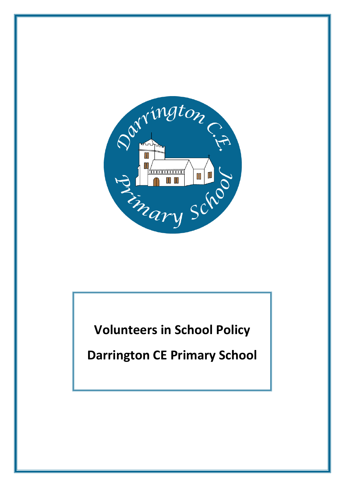

**Volunteers in School Policy**

**Darrington CE Primary School**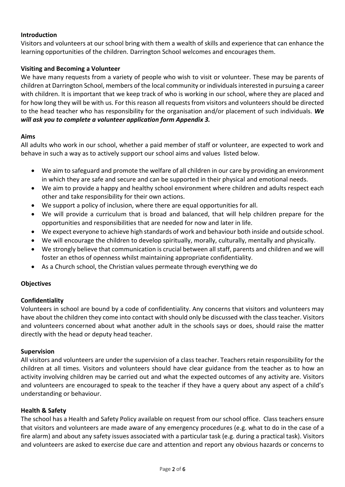# **Introduction**

Visitors and volunteers at our school bring with them a wealth of skills and experience that can enhance the learning opportunities of the children. Darrington School welcomes and encourages them.

#### **Visiting and Becoming a Volunteer**

We have many requests from a variety of people who wish to visit or volunteer. These may be parents of children at Darrington School, members of the local community or individuals interested in pursuing a career with children. It is important that we keep track of who is working in our school, where they are placed and for how long they will be with us. For this reason all requests from visitors and volunteers should be directed to the head teacher who has responsibility for the organisation and/or placement of such individuals. *We will ask you to complete a volunteer application form Appendix 3.*

#### **Aims**

All adults who work in our school, whether a paid member of staff or volunteer, are expected to work and behave in such a way as to actively support our school aims and values listed below.

- We aim to safeguard and promote the welfare of all children in our care by providing an environment in which they are safe and secure and can be supported in their physical and emotional needs.
- We aim to provide a happy and healthy school environment where children and adults respect each other and take responsibility for their own actions.
- We support a policy of inclusion, where there are equal opportunities for all.
- We will provide a curriculum that is broad and balanced, that will help children prepare for the opportunities and responsibilities that are needed for now and later in life.
- We expect everyone to achieve high standards of work and behaviour both inside and outside school.
- We will encourage the children to develop spiritually, morally, culturally, mentally and physically.
- We strongly believe that communication is crucial between all staff, parents and children and we will foster an ethos of openness whilst maintaining appropriate confidentiality.
- As a Church school, the Christian values permeate through everything we do

# **Objectives**

# **Confidentiality**

Volunteers in school are bound by a code of confidentiality. Any concerns that visitors and volunteers may have about the children they come into contact with should only be discussed with the class teacher. Visitors and volunteers concerned about what another adult in the schools says or does, should raise the matter directly with the head or deputy head teacher.

#### **Supervision**

All visitors and volunteers are under the supervision of a class teacher. Teachers retain responsibility for the children at all times. Visitors and volunteers should have clear guidance from the teacher as to how an activity involving children may be carried out and what the expected outcomes of any activity are. Visitors and volunteers are encouraged to speak to the teacher if they have a query about any aspect of a child's understanding or behaviour.

#### **Health & Safety**

The school has a Health and Safety Policy available on request from our school office. Class teachers ensure that visitors and volunteers are made aware of any emergency procedures (e.g. what to do in the case of a fire alarm) and about any safety issues associated with a particular task (e.g. during a practical task). Visitors and volunteers are asked to exercise due care and attention and report any obvious hazards or concerns to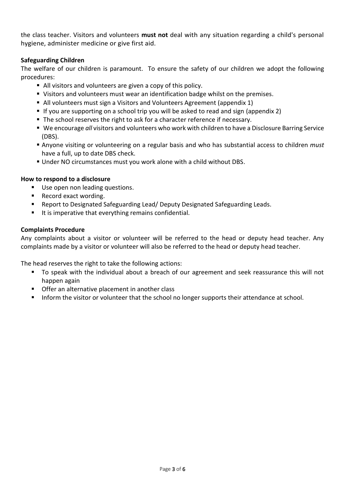the class teacher. Visitors and volunteers **must not** deal with any situation regarding a child's personal hygiene, administer medicine or give first aid.

#### **Safeguarding Children**

The welfare of our children is paramount. To ensure the safety of our children we adopt the following procedures:

- All visitors and volunteers are given a copy of this policy.
- Visitors and volunteers must wear an identification badge whilst on the premises.
- All volunteers must sign a Visitors and Volunteers Agreement (appendix 1)
- If you are supporting on a school trip you will be asked to read and sign (appendix 2)
- The school reserves the right to ask for a character reference if necessary.
- We encourage *all* visitors and volunteers who work with children to have a Disclosure Barring Service (DBS).
- Anyone visiting or volunteering on a regular basis and who has substantial access to children *must* have a full, up to date DBS check.
- Under NO circumstances must you work alone with a child without DBS.

#### **How to respond to a disclosure**

- Use open non leading questions.
- Record exact wording.
- Report to Designated Safeguarding Lead/ Deputy Designated Safeguarding Leads.
- $\blacksquare$  It is imperative that everything remains confidential.

#### **Complaints Procedure**

Any complaints about a visitor or volunteer will be referred to the head or deputy head teacher. Any complaints made by a visitor or volunteer will also be referred to the head or deputy head teacher.

The head reserves the right to take the following actions:

- To speak with the individual about a breach of our agreement and seek reassurance this will not happen again
- **Offer an alternative placement in another class**
- Inform the visitor or volunteer that the school no longer supports their attendance at school.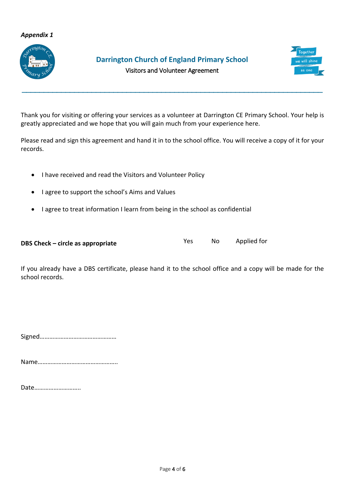#### *Appendix 1*



# **Darrington Church of England Primary School**



Visitors and Volunteer Agreement

**\_\_\_\_\_\_\_\_\_\_\_\_\_\_\_\_\_\_\_\_\_\_\_\_\_\_\_\_\_\_\_\_\_\_\_\_\_\_\_\_\_\_\_\_\_\_\_\_\_\_\_\_\_\_\_\_\_\_\_\_\_\_\_\_\_\_\_\_\_**

Thank you for visiting or offering your services as a volunteer at Darrington CE Primary School. Your help is greatly appreciated and we hope that you will gain much from your experience here.

Please read and sign this agreement and hand it in to the school office. You will receive a copy of it for your records.

- I have received and read the Visitors and Volunteer Policy
- I agree to support the school's Aims and Values
- I agree to treat information I learn from being in the school as confidential

| DBS Check – circle as appropriate | Yes. | No | Applied for |
|-----------------------------------|------|----|-------------|
|-----------------------------------|------|----|-------------|

If you already have a DBS certificate, please hand it to the school office and a copy will be made for the school records.

Signed…………………………………………

Name…………………………………………..

Date………………………..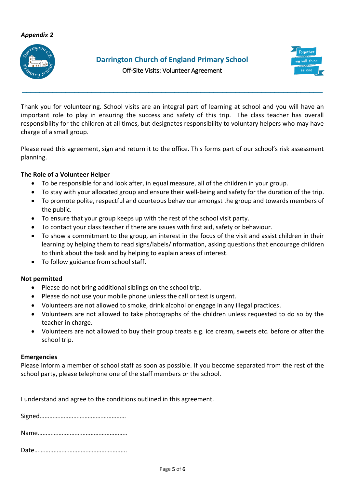# *Appendix 2*



# **Darrington Church of England Primary School**



Off-Site Visits: Volunteer Agreement

**\_\_\_\_\_\_\_\_\_\_\_\_\_\_\_\_\_\_\_\_\_\_\_\_\_\_\_\_\_\_\_\_\_\_\_\_\_\_\_\_\_\_\_\_\_\_\_\_\_\_\_\_\_\_\_\_\_\_\_\_\_\_\_\_\_\_\_\_\_**

Thank you for volunteering. School visits are an integral part of learning at school and you will have an important role to play in ensuring the success and safety of this trip. The class teacher has overall responsibility for the children at all times, but designates responsibility to voluntary helpers who may have charge of a small group.

Please read this agreement, sign and return it to the office. This forms part of our school's risk assessment planning.

#### **The Role of a Volunteer Helper**

- To be responsible for and look after, in equal measure, all of the children in your group.
- To stay with your allocated group and ensure their well-being and safety for the duration of the trip.
- To promote polite, respectful and courteous behaviour amongst the group and towards members of the public.
- To ensure that your group keeps up with the rest of the school visit party.
- To contact your class teacher if there are issues with first aid, safety or behaviour.
- To show a commitment to the group, an interest in the focus of the visit and assist children in their learning by helping them to read signs/labels/information, asking questions that encourage children to think about the task and by helping to explain areas of interest.
- To follow guidance from school staff.

#### **Not permitted**

- Please do not bring additional siblings on the school trip.
- Please do not use your mobile phone unless the call or text is urgent.
- Volunteers are not allowed to smoke, drink alcohol or engage in any illegal practices.
- Volunteers are not allowed to take photographs of the children unless requested to do so by the teacher in charge.
- Volunteers are not allowed to buy their group treats e.g. ice cream, sweets etc. before or after the school trip.

#### **Emergencies**

Please inform a member of school staff as soon as possible. If you become separated from the rest of the school party, please telephone one of the staff members or the school.

I understand and agree to the conditions outlined in this agreement.